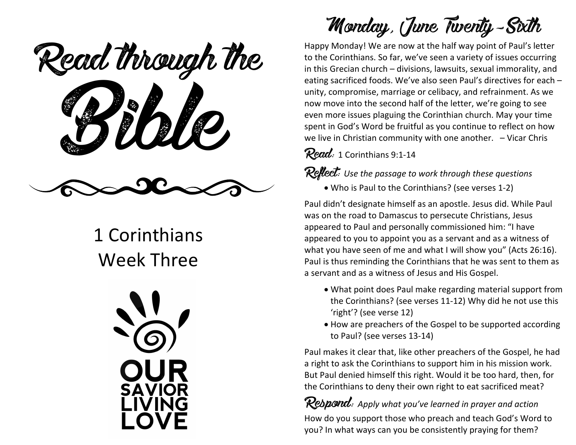ead mough! Read through the

### 1 Corinthians Week Three



Monday, June Twenty-Sixth

Happy Monday! We are now at the half way point of Paul's letter to the Corinthians. So far, we've seen a variety of issues occurring in this Grecian church  $-$  divisions, lawsuits, sexual immorality, and eating sacrificed foods. We've also seen Paul's directives for each unity, compromise, marriage or celibacy, and refrainment. As we now move into the second half of the letter, we're going to see even more issues plaguing the Corinthian church. May your time spent in God's Word be fruitful as you continue to reflect on how we live in Christian community with one another.  $-$  Vicar Chris

 $Read: 1$  Corinthians 9:1-14

#### **Reflect:** Use the passage to work through these questions

• Who is Paul to the Corinthians? (see verses 1-2)

Paul didn't designate himself as an apostle. Jesus did. While Paul was on the road to Damascus to persecute Christians, Jesus appeared to Paul and personally commissioned him: "I have appeared to you to appoint you as a servant and as a witness of what you have seen of me and what I will show you" (Acts 26:16). Paul is thus reminding the Corinthians that he was sent to them as a servant and as a witness of Jesus and His Gospel.

- What point does Paul make regarding material support from the Corinthians? (see verses 11-12) Why did he not use this 'right'? (see verse 12)
- How are preachers of the Gospel to be supported according to Paul? (see verses 13-14)

Paul makes it clear that, like other preachers of the Gospel, he had a right to ask the Corinthians to support him in his mission work. But Paul denied himself this right. Would it be too hard, then, for the Corinthians to deny their own right to eat sacrificed meat?

**Respond:** Apply what you've learned in prayer and action How do you support those who preach and teach God's Word to you? In what ways can you be consistently praying for them?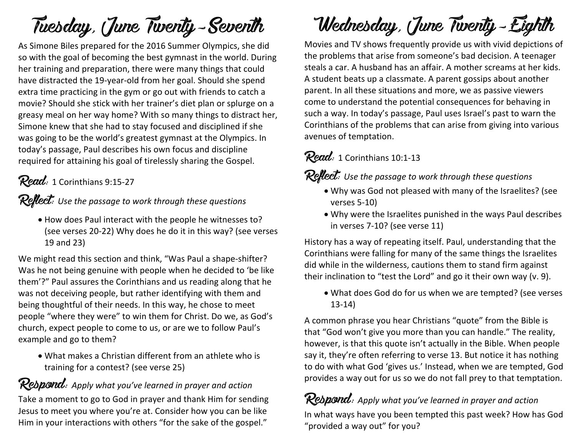# Tuesday, June Twenty-Seventh

As Simone Biles prepared for the 2016 Summer Olympics, she did so with the goal of becoming the best gymnast in the world. During her training and preparation, there were many things that could have distracted the 19-year-old from her goal. Should she spend extra time practicing in the gym or go out with friends to catch a movie? Should she stick with her trainer's diet plan or splurge on a greasy meal on her way home? With so many things to distract her, Simone knew that she had to stay focused and disciplined if she was going to be the world's greatest gymnast at the Olympics. In today's passage, Paul describes his own focus and discipline required for attaining his goal of tirelessly sharing the Gospel.

### Read: 1 Corinthians 9:15-27

#### $\mathcal{R}$ eflect: Use the passage to work through these questions

• How does Paul interact with the people he witnesses to? (see verses 20-22) Why does he do it in this way? (see verses 19 and 23)

We might read this section and think, "Was Paul a shape-shifter? Was he not being genuine with people when he decided to 'be like them'?" Paul assures the Corinthians and us reading along that he was not deceiving people, but rather identifying with them and being thoughtful of their needs. In this way, he chose to meet people "where they were" to win them for Christ. Do we, as God's church, expect people to come to us, or are we to follow Paul's example and go to them?

 $\bullet$  What makes a Christian different from an athlete who is training for a contest? (see verse 25)

#### Rebpond: Apply what you've learned in prayer and action

Take a moment to go to God in prayer and thank Him for sending Jesus to meet you where you're at. Consider how you can be like Him in your interactions with others "for the sake of the gospel."

## Wednesday, June Twenty-Eighth

Movies and TV shows frequently provide us with vivid depictions of the problems that arise from someone's bad decision. A teenager steals a car. A husband has an affair. A mother screams at her kids. A student beats up a classmate. A parent gossips about another parent. In all these situations and more, we as passive viewers come to understand the potential consequences for behaving in such a way. In today's passage, Paul uses Israel's past to warn the Corinthians of the problems that can arise from giving into various avenues of temptation.

#### Read: 1 Corinthians 10:1-13

**Reflect:** Use the passage to work through these questions

- Why was God not pleased with many of the Israelites? (see verses 5-10)
- Why were the Israelites punished in the ways Paul describes in verses 7-10? (see verse 11)

History has a way of repeating itself. Paul, understanding that the Corinthians were falling for many of the same things the Israelites did while in the wilderness, cautions them to stand firm against their inclination to "test the Lord" and go it their own way (v. 9).

• What does God do for us when we are tempted? (see verses 13-14)

A common phrase you hear Christians "quote" from the Bible is that "God won't give you more than you can handle." The reality, however, is that this quote isn't actually in the Bible. When people say it, they're often referring to verse 13. But notice it has nothing to do with what God 'gives us.' Instead, when we are tempted, God provides a way out for us so we do not fall prey to that temptation.

Rebpond: Apply what you've learned in prayer and action

In what ways have you been tempted this past week? How has God "provided a way out" for you?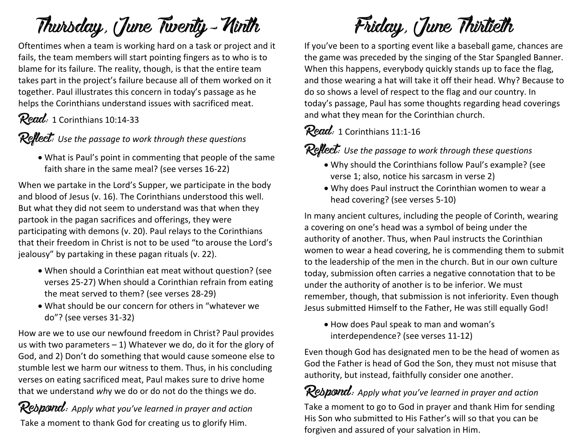# Thursday, June Twenty-Ninth

Oftentimes when a team is working hard on a task or project and it fails, the team members will start pointing fingers as to who is to blame for its failure. The reality, though, is that the entire team takes part in the project's failure because all of them worked on it together. Paul illustrates this concern in today's passage as he helps the Corinthians understand issues with sacrificed meat.

 $Read: 1$  Corinthians 10:14-33

**Reflect:** Use the passage to work through these questions

• What is Paul's point in commenting that people of the same faith share in the same meal? (see verses 16-22)

When we partake in the Lord's Supper, we participate in the body and blood of Jesus (v. 16). The Corinthians understood this well. But what they did not seem to understand was that when they partook in the pagan sacrifices and offerings, they were participating with demons (v. 20). Paul relays to the Corinthians that their freedom in Christ is not to be used "to arouse the Lord's jealousy" by partaking in these pagan rituals (v. 22).

- When should a Corinthian eat meat without question? (see verses 25-27) When should a Corinthian refrain from eating the meat served to them? (see verses 28-29)
- What should be our concern for others in "whatever we do"? (see verses 31-32)

How are we to use our newfound freedom in Christ? Paul provides us with two parameters  $-1$ ) Whatever we do, do it for the glory of God, and 2) Don't do something that would cause someone else to stumble lest we harm our witness to them. Thus, in his concluding verses on eating sacrificed meat, Paul makes sure to drive home that we understand why we do or do not do the things we do.

**Respond**: Apply what you've learned in prayer and action Take a moment to thank God for creating us to glorify Him.

Friday, June Thirtieth

If you've been to a sporting event like a baseball game, chances are the game was preceded by the singing of the Star Spangled Banner. When this happens, everybody quickly stands up to face the flag, and those wearing a hat will take it off their head. Why? Because to do so shows a level of respect to the flag and our country. In today's passage, Paul has some thoughts regarding head coverings and what they mean for the Corinthian church.

### $Read: 1$  Corinthians 11:1-16

**Reflect:** Use the passage to work through these questions

- Why should the Corinthians follow Paul's example? (see verse 1; also, notice his sarcasm in verse 2)
- Why does Paul instruct the Corinthian women to wear a head covering? (see verses 5-10)

In many ancient cultures, including the people of Corinth, wearing a covering on one's head was a symbol of being under the authority of another. Thus, when Paul instructs the Corinthian women to wear a head covering, he is commending them to submit to the leadership of the men in the church. But in our own culture today, submission often carries a negative connotation that to be under the authority of another is to be inferior. We must remember, though, that submission is not inferiority. Even though Jesus submitted Himself to the Father, He was still equally God!

• How does Paul speak to man and woman's interdependence? (see verses 11-12)

Even though God has designated men to be the head of women as God the Father is head of God the Son, they must not misuse that authority, but instead, faithfully consider one another.

### **Respond:** Apply what you've learned in prayer and action

Take a moment to go to God in prayer and thank Him for sending His Son who submitted to His Father's will so that you can be forgiven and assured of your salvation in Him.